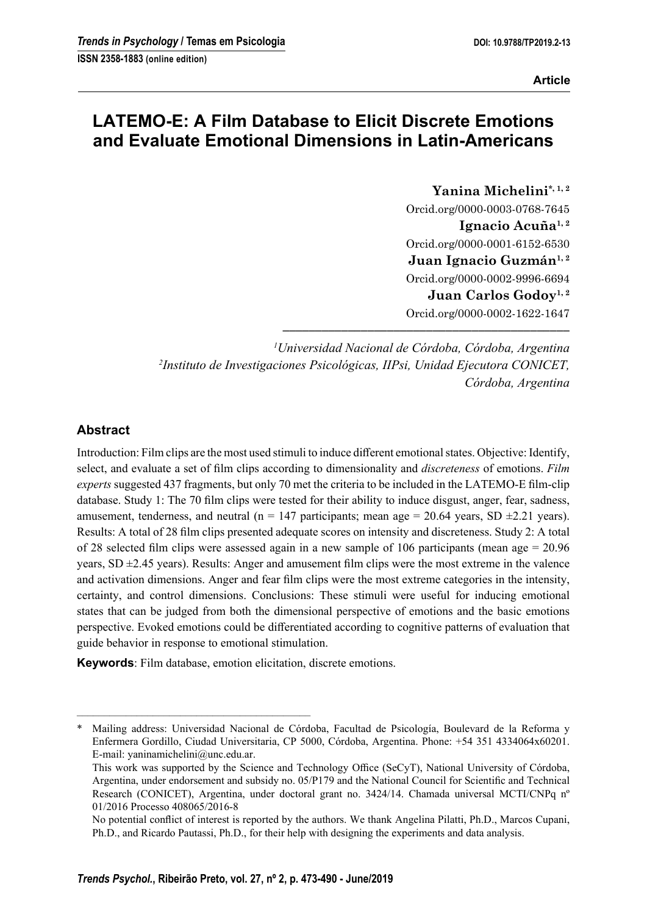# **LATEMO-E: A Film Database to Elicit Discrete Emotions and Evaluate Emotional Dimensions in Latin-Americans**

**Yanina Michelini\*, 1, 2** Orcid.org/0000-0003-0768-7645 Ignacio Acuña<sup>1,2</sup> Orcid.org/0000-0001-6152-6530 Juan Ignacio Guzmán<sup>1, 2</sup> Orcid.org/0000-0002-9996-6694 Juan Carlos Godoy<sup>1, 2</sup> Orcid.org/0000-0002-1622-1647

*1 Universidad Nacional de Córdoba, Córdoba, Argentina 2 Instituto de Investigaciones Psicológicas, IIPsi, Unidad Ejecutora CONICET, Córdoba, Argentina*

**––––––––––––––––––––––––––––––––––––––––––––**

# **Abstract**

Introduction: Film clips are the most used stimuli to induce different emotional states. Objective: Identify, select, and evaluate a set of film clips according to dimensionality and *discreteness* of emotions. *Film experts* suggested 437 fragments, but only 70 met the criteria to be included in the LATEMO-E film-clip database. Study 1: The 70 film clips were tested for their ability to induce disgust, anger, fear, sadness, amusement, tenderness, and neutral (n = 147 participants; mean age = 20.64 years, SD  $\pm$ 2.21 years). Results: A total of 28 film clips presented adequate scores on intensity and discreteness. Study 2: A total of 28 selected film clips were assessed again in a new sample of 106 participants (mean age  $= 20.96$ ) years,  $SD \pm 2.45$  years). Results: Anger and amusement film clips were the most extreme in the valence and activation dimensions. Anger and fear film clips were the most extreme categories in the intensity, certainty, and control dimensions. Conclusions: These stimuli were useful for inducing emotional states that can be judged from both the dimensional perspective of emotions and the basic emotions perspective. Evoked emotions could be differentiated according to cognitive patterns of evaluation that guide behavior in response to emotional stimulation.

**Keywords**: Film database, emotion elicitation, discrete emotions.

–––––––––––––––––––––––––––––––––––––––––––

<sup>\*</sup> Mailing address: Universidad Nacional de Córdoba, Facultad de Psicología, Boulevard de la Reforma y Enfermera Gordillo, Ciudad Universitaria, CP 5000, Córdoba, Argentina. Phone: +54 351 4334064x60201. E-mail: yaninamichelini@unc.edu.ar.

This work was supported by the Science and Technology Office (SeCyT), National University of Córdoba, Argentina, under endorsement and subsidy no. 05/P179 and the National Council for Scientific and Technical Research (CONICET), Argentina, under doctoral grant no. 3424/14. Chamada universal MCTI/CNPq nº 01/2016 Processo 408065/2016-8

No potential conflict of interest is reported by the authors. We thank Angelina Pilatti, Ph.D., Marcos Cupani, Ph.D., and Ricardo Pautassi, Ph.D., for their help with designing the experiments and data analysis.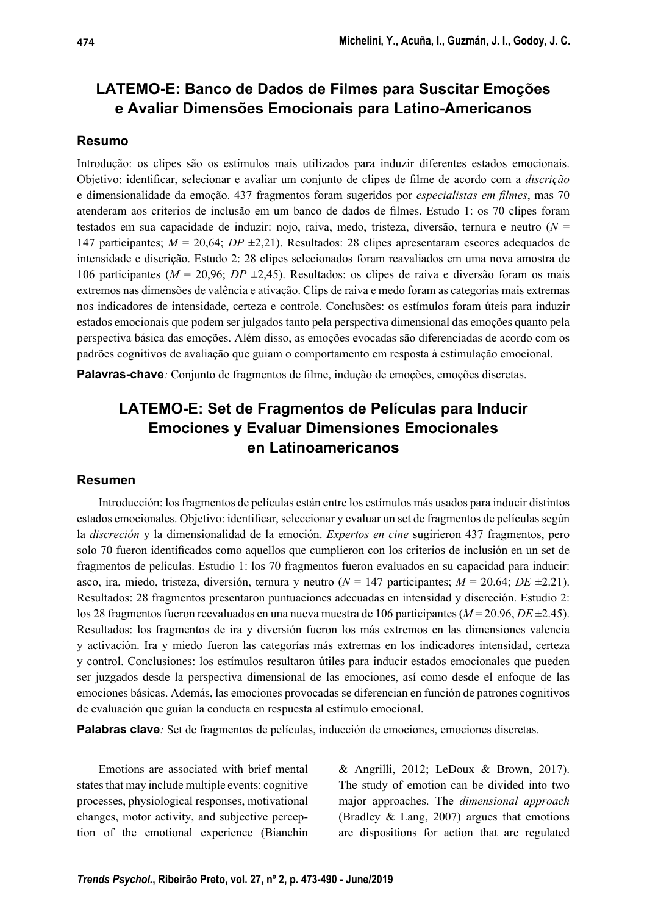# **LATEMO-E: Banco de Dados de Filmes para Suscitar Emoções e Avaliar Dimensões Emocionais para Latino-Americanos**

## **Resumo**

Introdução: os clipes são os estímulos mais utilizados para induzir diferentes estados emocionais. Objetivo: identificar, selecionar e avaliar um conjunto de clipes de filme de acordo com a *discrição* e dimensionalidade da emoção. 437 fragmentos foram sugeridos por *especialistas em filmes*, mas 70 atenderam aos criterios de inclusão em um banco de dados de filmes. Estudo 1: os 70 clipes foram testados em sua capacidade de induzir: nojo, raiva, medo, tristeza, diversão, ternura e neutro (*N* = 147 participantes; *M* = 20,64; *DP* ±2,21). Resultados: 28 clipes apresentaram escores adequados de intensidade e discrição. Estudo 2: 28 clipes selecionados foram reavaliados em uma nova amostra de 106 participantes (*M* = 20,96; *DP* ±2,45). Resultados: os clipes de raiva e diversão foram os mais extremos nas dimensões de valência e ativação. Clips de raiva e medo foram as categorias mais extremas nos indicadores de intensidade, certeza e controle. Conclusões: os estímulos foram úteis para induzir estados emocionais que podem ser julgados tanto pela perspectiva dimensional das emoções quanto pela perspectiva básica das emoções. Além disso, as emoções evocadas são diferenciadas de acordo com os padrões cognitivos de avaliação que guiam o comportamento em resposta à estimulação emocional.

**Palavras-chave**: Conjunto de fragmentos de filme, indução de emoções, emoções discretas.

# **LATEMO-E: Set de Fragmentos de Películas para Inducir Emociones y Evaluar Dimensiones Emocionales en Latinoamericanos**

#### **Resumen**

Introducción: los fragmentos de películas están entre los estímulos más usados para inducir distintos estados emocionales. Objetivo: identificar, seleccionar y evaluar un set de fragmentos de películas según la *discreción* y la dimensionalidad de la emoción. *Expertos en cine* sugirieron 437 fragmentos, pero solo 70 fueron identificados como aquellos que cumplieron con los criterios de inclusión en un set de fragmentos de películas. Estudio 1: los 70 fragmentos fueron evaluados en su capacidad para inducir: asco, ira, miedo, tristeza, diversión, ternura y neutro (*N* = 147 participantes; *M* = 20.64; *DE* ±2.21). Resultados: 28 fragmentos presentaron puntuaciones adecuadas en intensidad y discreción. Estudio 2: los 28 fragmentos fueron reevaluados en una nueva muestra de 106 participantes (*M* = 20.96, *DE* ±2.45). Resultados: los fragmentos de ira y diversión fueron los más extremos en las dimensiones valencia y activación. Ira y miedo fueron las categorías más extremas en los indicadores intensidad, certeza y control. Conclusiones: los estímulos resultaron útiles para inducir estados emocionales que pueden ser juzgados desde la perspectiva dimensional de las emociones, así como desde el enfoque de las emociones básicas. Además, las emociones provocadas se diferencian en función de patrones cognitivos de evaluación que guían la conducta en respuesta al estímulo emocional.

**Palabras clave***:* Set de fragmentos de películas, inducción de emociones, emociones discretas.

Emotions are associated with brief mental states that may include multiple events: cognitive processes, physiological responses, motivational changes, motor activity, and subjective perception of the emotional experience (Bianchin & Angrilli, 2012; LeDoux & Brown, 2017). The study of emotion can be divided into two major approaches. The *dimensional approach* (Bradley & Lang, 2007) argues that emotions are dispositions for action that are regulated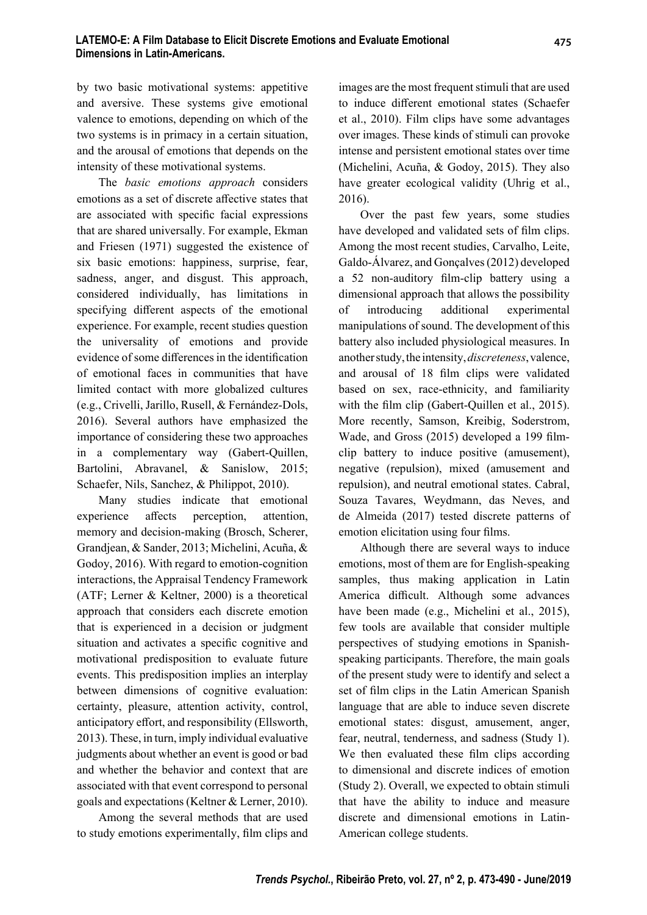by two basic motivational systems: appetitive and aversive. These systems give emotional valence to emotions, depending on which of the two systems is in primacy in a certain situation, and the arousal of emotions that depends on the intensity of these motivational systems.

The *basic emotions approach* considers emotions as a set of discrete affective states that are associated with specific facial expressions that are shared universally. For example, Ekman and Friesen (1971) suggested the existence of six basic emotions: happiness, surprise, fear, sadness, anger, and disgust. This approach, considered individually, has limitations in specifying different aspects of the emotional experience. For example, recent studies question the universality of emotions and provide evidence of some differences in the identification of emotional faces in communities that have limited contact with more globalized cultures (e.g., Crivelli, Jarillo, Rusell, & Fernández-Dols, 2016). Several authors have emphasized the importance of considering these two approaches in a complementary way (Gabert-Quillen, Bartolini, Abravanel, & Sanislow, 2015; Schaefer, Nils, Sanchez, & Philippot, 2010).

Many studies indicate that emotional experience affects perception, attention, memory and decision-making (Brosch, Scherer, Grandjean, & Sander, 2013; Michelini, Acuña, & Godoy, 2016). With regard to emotion-cognition interactions, the Appraisal Tendency Framework (ATF; Lerner & Keltner, 2000) is a theoretical approach that considers each discrete emotion that is experienced in a decision or judgment situation and activates a specific cognitive and motivational predisposition to evaluate future events. This predisposition implies an interplay between dimensions of cognitive evaluation: certainty, pleasure, attention activity, control, anticipatory effort, and responsibility (Ellsworth, 2013). These, in turn, imply individual evaluative judgments about whether an event is good or bad and whether the behavior and context that are associated with that event correspond to personal goals and expectations (Keltner & Lerner, 2010).

Among the several methods that are used to study emotions experimentally, film clips and images are the most frequent stimuli that are used to induce different emotional states (Schaefer et al., 2010). Film clips have some advantages over images. These kinds of stimuli can provoke intense and persistent emotional states over time (Michelini, Acuña, & Godoy, 2015). They also have greater ecological validity (Uhrig et al., 2016).

Over the past few years, some studies have developed and validated sets of film clips. Among the most recent studies, Carvalho, Leite, Galdo-Álvarez, and Gonçalves (2012) developed a 52 non-auditory film-clip battery using a dimensional approach that allows the possibility of introducing additional experimental manipulations of sound. The development of this battery also included physiological measures. In another study, the intensity, *discreteness*, valence, and arousal of 18 film clips were validated based on sex, race-ethnicity, and familiarity with the film clip (Gabert-Quillen et al.,  $2015$ ). More recently, Samson, Kreibig, Soderstrom, Wade, and Gross (2015) developed a 199 filmclip battery to induce positive (amusement), negative (repulsion), mixed (amusement and repulsion), and neutral emotional states. Cabral, Souza Tavares, Weydmann, das Neves, and de Almeida (2017) tested discrete patterns of emotion elicitation using four films.

Although there are several ways to induce emotions, most of them are for English-speaking samples, thus making application in Latin America difficult. Although some advances have been made (e.g., Michelini et al., 2015), few tools are available that consider multiple perspectives of studying emotions in Spanishspeaking participants. Therefore, the main goals of the present study were to identify and select a set of film clips in the Latin American Spanish language that are able to induce seven discrete emotional states: disgust, amusement, anger, fear, neutral, tenderness, and sadness (Study 1). We then evaluated these film clips according to dimensional and discrete indices of emotion (Study 2). Overall, we expected to obtain stimuli that have the ability to induce and measure discrete and dimensional emotions in Latin-American college students.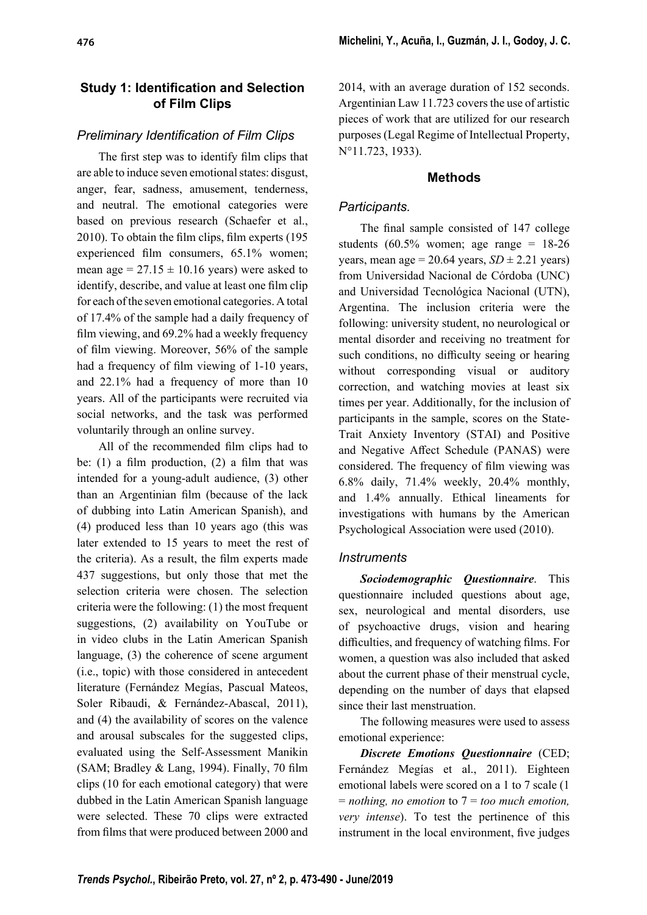# **Study 1: Identification and Selection of Film Clips**

# **Preliminary Identification of Film Clips**

The first step was to identify film clips that are able to induce seven emotional states: disgust, anger, fear, sadness, amusement, tenderness, and neutral. The emotional categories were based on previous research (Schaefer et al.,  $2010$ ). To obtain the film clips, film experts  $(195$ experienced film consumers, 65.1% women; mean age =  $27.15 \pm 10.16$  years) were asked to identify, describe, and value at least one film clip for each of the seven emotional categories. A total of 17.4% of the sample had a daily frequency of film viewing, and  $69.2\%$  had a weekly frequency of film viewing. Moreover, 56% of the sample had a frequency of film viewing of  $1-10$  years, and 22.1% had a frequency of more than 10 years. All of the participants were recruited via social networks, and the task was performed voluntarily through an online survey.

All of the recommended film clips had to be: (1) a film production, (2) a film that was intended for a young-adult audience, (3) other than an Argentinian film (because of the lack of dubbing into Latin American Spanish), and (4) produced less than 10 years ago (this was later extended to 15 years to meet the rest of the criteria). As a result, the film experts made 437 suggestions, but only those that met the selection criteria were chosen. The selection criteria were the following: (1) the most frequent suggestions, (2) availability on YouTube or in video clubs in the Latin American Spanish language, (3) the coherence of scene argument (i.e., topic) with those considered in antecedent literature (Fernández Megías, Pascual Mateos, Soler Ribaudi, & Fernández-Abascal, 2011), and (4) the availability of scores on the valence and arousal subscales for the suggested clips, evaluated using the Self-Assessment Manikin (SAM; Bradley & Lang, 1994). Finally, 70 film clips (10 for each emotional category) that were dubbed in the Latin American Spanish language were selected. These 70 clips were extracted from films that were produced between 2000 and 2014, with an average duration of 152 seconds. Argentinian Law 11.723 covers the use of artistic pieces of work that are utilized for our research purposes (Legal Regime of Intellectual Property, N°11.723, 1933).

# **Methods**

# *Participants.*

The final sample consisted of 147 college students  $(60.5\%$  women; age range = 18-26 years, mean age =  $20.64$  years,  $SD \pm 2.21$  years) from Universidad Nacional de Córdoba (UNC) and Universidad Tecnológica Nacional (UTN), Argentina. The inclusion criteria were the following: university student, no neurological or mental disorder and receiving no treatment for such conditions, no difficulty seeing or hearing without corresponding visual or auditory correction, and watching movies at least six times per year. Additionally, for the inclusion of participants in the sample, scores on the State-Trait Anxiety Inventory (STAI) and Positive and Negative Affect Schedule (PANAS) were considered. The frequency of film viewing was 6.8% daily, 71.4% weekly, 20.4% monthly, and 1.4% annually. Ethical lineaments for investigations with humans by the American Psychological Association were used (2010).

# *Instruments*

*Sociodemographic Questionnaire*. This questionnaire included questions about age, sex, neurological and mental disorders, use of psychoactive drugs, vision and hearing difficulties, and frequency of watching films. For women, a question was also included that asked about the current phase of their menstrual cycle, depending on the number of days that elapsed since their last menstruation.

The following measures were used to assess emotional experience:

*Discrete Emotions Questionnaire* (CED; Fernández Megías et al., 2011). Eighteen emotional labels were scored on a 1 to 7 scale (1 = *nothing, no emotion* to 7 = *too much emotion, very intense*). To test the pertinence of this instrument in the local environment, five judges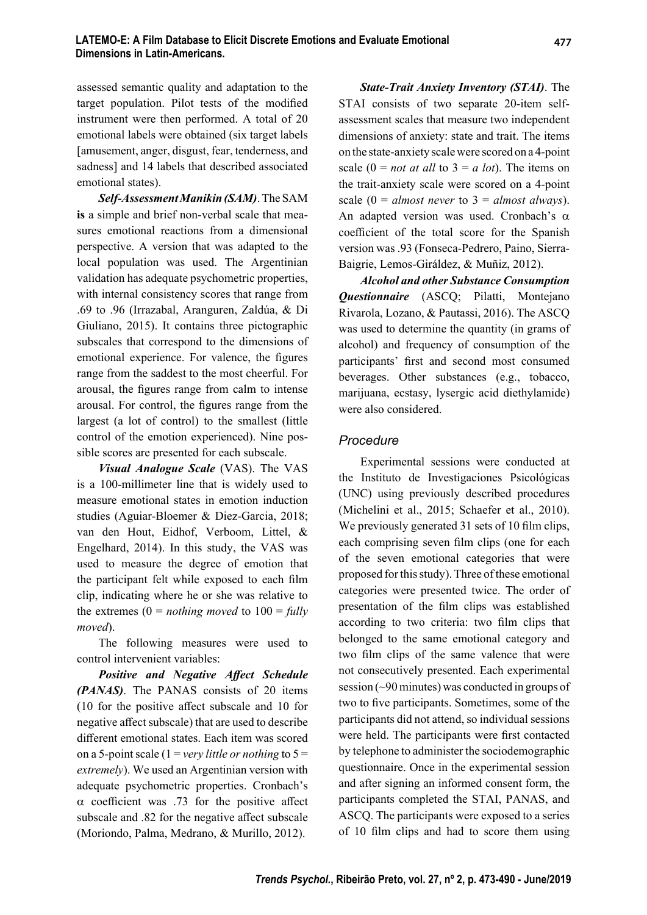assessed semantic quality and adaptation to the target population. Pilot tests of the modified instrument were then performed. A total of 20 emotional labels were obtained (six target labels [amusement, anger, disgust, fear, tenderness, and sadness] and 14 labels that described associated emotional states).

*Self-Assessment Manikin (SAM)*. The SAM **is** a simple and brief non-verbal scale that measures emotional reactions from a dimensional perspective. A version that was adapted to the local population was used. The Argentinian validation has adequate psychometric properties, with internal consistency scores that range from .69 to .96 (Irrazabal, Aranguren, Zaldúa, & Di Giuliano, 2015). It contains three pictographic subscales that correspond to the dimensions of emotional experience. For valence, the figures range from the saddest to the most cheerful. For arousal, the figures range from calm to intense arousal. For control, the figures range from the largest (a lot of control) to the smallest (little control of the emotion experienced). Nine possible scores are presented for each subscale.

*Visual Analogue Scale* (VAS). The VAS is a 100-millimeter line that is widely used to measure emotional states in emotion induction studies (Aguiar-Bloemer & Diez-Garcia, 2018; van den Hout, Eidhof, Verboom, Littel, & Engelhard, 2014). In this study, the VAS was used to measure the degree of emotion that the participant felt while exposed to each film clip, indicating where he or she was relative to the extremes  $(0 = nothing moved to 100 = fully)$ *moved*).

The following measures were used to control intervenient variables:

**Positive and Negative Affect Schedule** *(PANAS)*. The PANAS consists of 20 items  $(10$  for the positive affect subscale and 10 for negative affect subscale) that are used to describe different emotional states. Each item was scored on a 5-point scale (1 = *very little or nothing* to 5 = *extremely*). We used an Argentinian version with adequate psychometric properties. Cronbach's  $\alpha$  coefficient was .73 for the positive affect subscale and .82 for the negative affect subscale (Moriondo, Palma, Medrano, & Murillo, 2012).

*State-Trait Anxiety Inventory (STAI)*. The STAI consists of two separate 20-item selfassessment scales that measure two independent dimensions of anxiety: state and trait. The items on the state-anxiety scale were scored on a 4-point scale  $(0 = not at all to 3 = a lot)$ . The items on the trait-anxiety scale were scored on a 4-point scale  $(0 = almost never to 3 = almost always).$ An adapted version was used. Cronbach's  $\alpha$ coefficient of the total score for the Spanish version was .93 (Fonseca-Pedrero, Paino, Sierra-Baigrie, Lemos-Giráldez, & Muñiz, 2012).

*Alcohol and other Substance Consumption Questionnaire* (ASCQ; Pilatti, Montejano Rivarola, Lozano, & Pautassi, 2016). The ASCQ was used to determine the quantity (in grams of alcohol) and frequency of consumption of the participants' first and second most consumed beverages. Other substances (e.g., tobacco, marijuana, ecstasy, lysergic acid diethylamide) were also considered.

#### *Procedure*

Experimental sessions were conducted at the Instituto de Investigaciones Psicológicas (UNC) using previously described procedures (Michelini et al., 2015; Schaefer et al., 2010). We previously generated 31 sets of 10 film clips, each comprising seven film clips (one for each of the seven emotional categories that were proposed for this study). Three of these emotional categories were presented twice. The order of presentation of the film clips was established according to two criteria: two film clips that belonged to the same emotional category and two film clips of the same valence that were not consecutively presented. Each experimental session (~90 minutes) was conducted in groups of two to five participants. Sometimes, some of the participants did not attend, so individual sessions were held. The participants were first contacted by telephone to administer the sociodemographic questionnaire. Once in the experimental session and after signing an informed consent form, the participants completed the STAI, PANAS, and ASCQ. The participants were exposed to a series of 10 film clips and had to score them using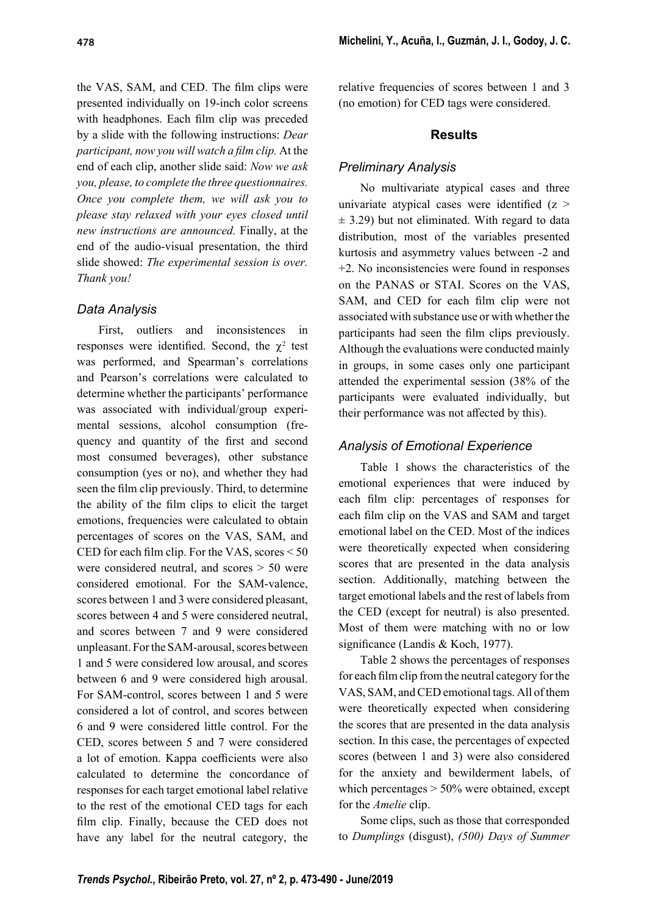the VAS, SAM, and CED. The film clips were presented individually on 19-inch color screens with headphones. Each film clip was preceded by a slide with the following instructions: *Dear participant, now you will watch a film clip.* At the end of each clip, another slide said: *Now we ask you, please, to complete the three questionnaires. Once you complete them, we will ask you to please stay relaxed with your eyes closed until new instructions are announced.* Finally, at the end of the audio-visual presentation, the third slide showed: *The experimental session is over. Thank you!*

### *Data Analysis*

First, outliers and inconsistences in responses were identified. Second, the  $\chi^2$  test was performed, and Spearman's correlations and Pearson's correlations were calculated to determine whether the participants' performance was associated with individual/group experimental sessions, alcohol consumption (frequency and quantity of the first and second most consumed beverages), other substance consumption (yes or no), and whether they had seen the film clip previously. Third, to determine the ability of the film clips to elicit the target emotions, frequencies were calculated to obtain percentages of scores on the VAS, SAM, and CED for each film clip. For the VAS, scores  $\leq 50$ were considered neutral, and scores > 50 were considered emotional. For the SAM-valence, scores between 1 and 3 were considered pleasant, scores between 4 and 5 were considered neutral, and scores between 7 and 9 were considered unpleasant. For the SAM-arousal, scores between 1 and 5 were considered low arousal, and scores between 6 and 9 were considered high arousal. For SAM-control, scores between 1 and 5 were considered a lot of control, and scores between 6 and 9 were considered little control. For the CED, scores between 5 and 7 were considered a lot of emotion. Kappa coefficients were also calculated to determine the concordance of responses for each target emotional label relative to the rest of the emotional CED tags for each film clip. Finally, because the CED does not have any label for the neutral category, the

relative frequencies of scores between 1 and 3 (no emotion) for CED tags were considered.

### **Results**

# *Preliminary Analysis*

No multivariate atypical cases and three univariate atypical cases were identified  $(z >$  $\pm$  3.29) but not eliminated. With regard to data distribution, most of the variables presented kurtosis and asymmetry values between -2 and +2. No inconsistencies were found in responses on the PANAS or STAI. Scores on the VAS, SAM, and CED for each film clip were not associated with substance use or with whether the participants had seen the film clips previously. Although the evaluations were conducted mainly in groups, in some cases only one participant attended the experimental session (38% of the participants were evaluated individually, but their performance was not affected by this).

# *Analysis of Emotional Experience*

Table 1 shows the characteristics of the emotional experiences that were induced by each film clip: percentages of responses for each film clip on the VAS and SAM and target emotional label on the CED. Most of the indices were theoretically expected when considering scores that are presented in the data analysis section. Additionally, matching between the target emotional labels and the rest of labels from the CED (except for neutral) is also presented. Most of them were matching with no or low significance (Landis & Koch, 1977).

Table 2 shows the percentages of responses for each film clip from the neutral category for the VAS, SAM, and CED emotional tags. All of them were theoretically expected when considering the scores that are presented in the data analysis section. In this case, the percentages of expected scores (between 1 and 3) were also considered for the anxiety and bewilderment labels, of which percentages > 50% were obtained, except for the *Amelie* clip.

Some clips, such as those that corresponded to *Dumplings* (disgust), *(500) Days of Summer*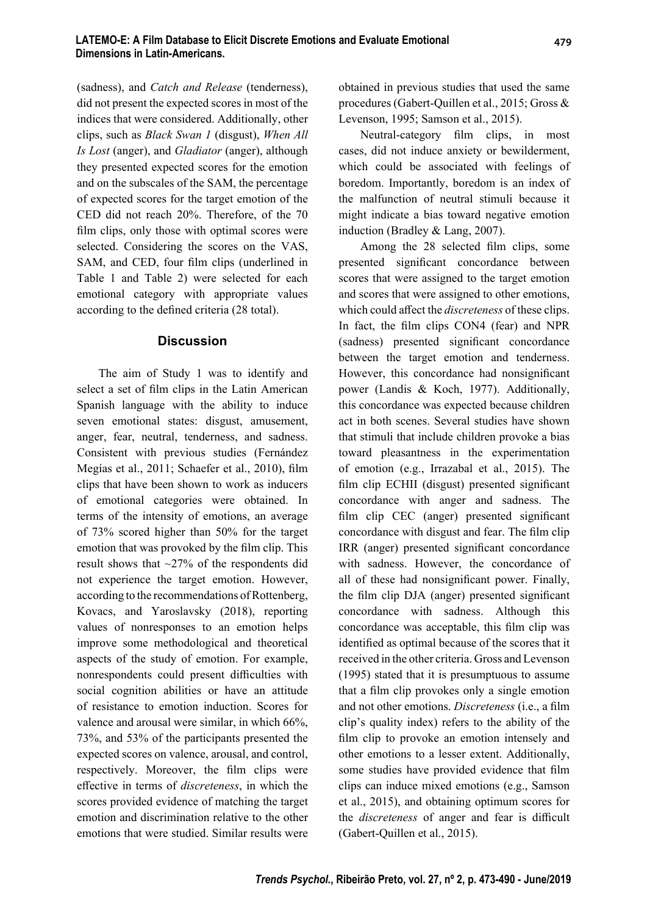(sadness), and *Catch and Release* (tenderness), did not present the expected scores in most of the indices that were considered. Additionally, other clips, such as *Black Swan 1* (disgust), *When All Is Lost* (anger), and *Gladiator* (anger), although they presented expected scores for the emotion and on the subscales of the SAM, the percentage of expected scores for the target emotion of the CED did not reach 20%. Therefore, of the 70 film clips, only those with optimal scores were selected. Considering the scores on the VAS, SAM, and CED, four film clips (underlined in Table 1 and Table 2) were selected for each emotional category with appropriate values according to the defined criteria (28 total).

#### **Discussion**

The aim of Study 1 was to identify and select a set of film clips in the Latin American Spanish language with the ability to induce seven emotional states: disgust, amusement, anger, fear, neutral, tenderness, and sadness. Consistent with previous studies (Fernández Megías et al., 2011; Schaefer et al., 2010), film clips that have been shown to work as inducers of emotional categories were obtained. In terms of the intensity of emotions, an average of 73% scored higher than 50% for the target emotion that was provoked by the film clip. This result shows that ~27% of the respondents did not experience the target emotion. However, according to the recommendations of Rottenberg, Kovacs, and Yaroslavsky (2018), reporting values of nonresponses to an emotion helps improve some methodological and theoretical aspects of the study of emotion. For example, nonrespondents could present difficulties with social cognition abilities or have an attitude of resistance to emotion induction. Scores for valence and arousal were similar, in which 66%, 73%, and 53% of the participants presented the expected scores on valence, arousal, and control, respectively. Moreover, the film clips were eff ective in terms of *discreteness*, in which the scores provided evidence of matching the target emotion and discrimination relative to the other emotions that were studied. Similar results were obtained in previous studies that used the same procedures (Gabert-Quillen et al., 2015; Gross & Levenson, 1995; Samson et al., 2015).

Neutral-category film clips, in most cases, did not induce anxiety or bewilderment, which could be associated with feelings of boredom. Importantly, boredom is an index of the malfunction of neutral stimuli because it might indicate a bias toward negative emotion induction (Bradley & Lang, 2007).

Among the 28 selected film clips, some presented significant concordance between scores that were assigned to the target emotion and scores that were assigned to other emotions, which could affect the *discreteness* of these clips. In fact, the film clips  $CON4$  (fear) and NPR (sadness) presented significant concordance between the target emotion and tenderness. However, this concordance had nonsignificant power (Landis & Koch, 1977). Additionally, this concordance was expected because children act in both scenes. Several studies have shown that stimuli that include children provoke a bias toward pleasantness in the experimentation of emotion (e.g., Irrazabal et al., 2015). The film clip ECHII (disgust) presented significant concordance with anger and sadness. The film clip CEC (anger) presented significant concordance with disgust and fear. The film clip IRR (anger) presented significant concordance with sadness. However, the concordance of all of these had nonsignificant power. Finally, the film clip DJA (anger) presented significant concordance with sadness. Although this concordance was acceptable, this film clip was identified as optimal because of the scores that it received in the other criteria. Gross and Levenson (1995) stated that it is presumptuous to assume that a film clip provokes only a single emotion and not other emotions. *Discreteness* (i.e., a film clip's quality index) refers to the ability of the film clip to provoke an emotion intensely and other emotions to a lesser extent. Additionally, some studies have provided evidence that film clips can induce mixed emotions (e.g., Samson et al., 2015), and obtaining optimum scores for the *discreteness* of anger and fear is difficult (Gabert-Quillen et al., 2015).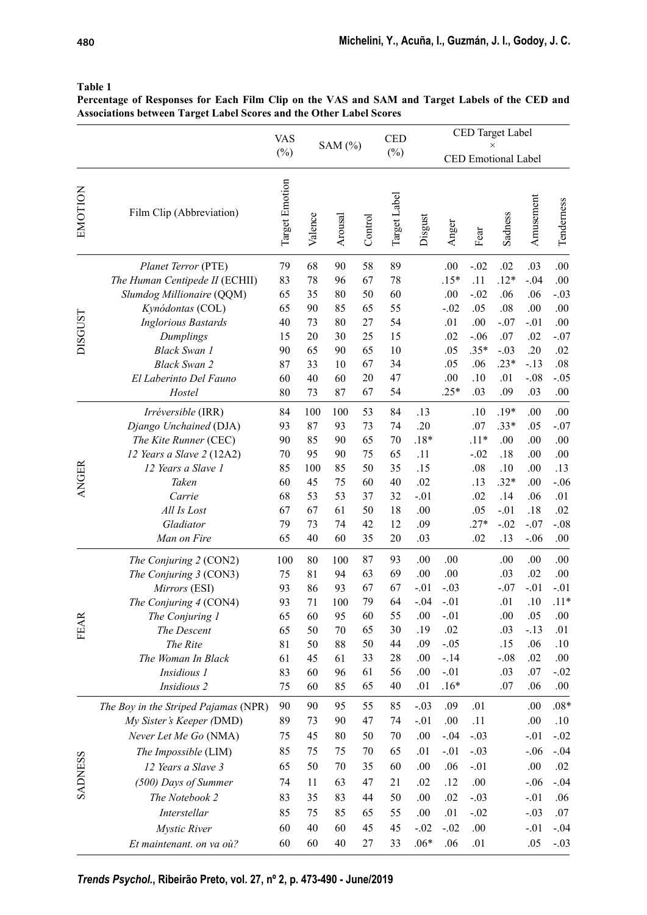|                |                                       | <b>VAS</b><br>$(\%)$ |          | SAM $(%)$ |          | <b>CED</b><br>$(\%)$ | CED Target Label<br>$\times$ |                            |         |            |            |               |  |
|----------------|---------------------------------------|----------------------|----------|-----------|----------|----------------------|------------------------------|----------------------------|---------|------------|------------|---------------|--|
|                |                                       |                      |          |           |          |                      |                              | <b>CED</b> Emotional Label |         |            |            |               |  |
| EMOTION        | Film Clip (Abbreviation)              | Target Emotion       | Valence  | Arousal   | Control  | Target Label         | Disgust                      | Anger                      | Fear    | Sadness    | Amusement  | Tenderness    |  |
| <b>DISGUST</b> | Planet Terror (PTE)                   | 79                   | 68       | 90        | 58       | 89                   |                              | .00.                       | $-.02$  | .02        | .03        | .00           |  |
|                | The Human Centipede II (ECHII)        | 83                   | 78       | 96        | 67       | 78                   |                              | $.15*$                     | .11     | $.12*$     | $-.04$     | .00           |  |
|                | Slumdog Millionaire (QQM)             | 65                   | 35       | 80        | 50       | 60                   |                              | .00                        | $-.02$  | .06        | .06        | $-.03$        |  |
|                | Kynódontas (COL)                      | 65                   | 90       | 85        | 65       | 55                   |                              | $-.02$                     | .05     | .08        | .00        | .00           |  |
|                | <b>Inglorious Bastards</b>            | 40                   | 73       | 80        | 27       | 54                   |                              | .01                        | .00     | $-.07$     | $-.01$     | .00           |  |
|                | Dumplings                             | 15                   | 20       | 30        | 25       | 15                   |                              | .02                        | $-.06$  | .07        | .02        | $-.07$        |  |
|                | <b>Black Swan 1</b>                   | 90                   | 65       | 90        | 65       | 10                   |                              | .05                        | $.35*$  | $-.03$     | .20        | .02           |  |
|                | <b>Black Swan 2</b>                   | 87                   | 33       | 10        | 67       | 34                   |                              | .05                        | .06     | $.23*$     | $-.13$     | .08           |  |
|                | El Laberinto Del Fauno                | 60                   | 40       | 60        | 20       | 47                   |                              | .00                        | .10     | .01        | $-.08$     | $-.05$        |  |
|                | Hostel                                | 80                   | 73       | 87        | 67       | 54                   |                              | $.25*$                     | .03     | .09        | .03        | .00           |  |
| <b>ANGER</b>   | Irréversible (IRR)                    | 84                   | 100      | 100       | 53       | 84                   | .13                          |                            | .10     | $.19*$     | .00        | .00           |  |
|                | Django Unchained (DJA)                | 93                   | 87       | 93        | 73       | 74                   | .20                          |                            | .07     | $.33*$     | .05        | $-.07$        |  |
|                | The Kite Runner (CEC)                 | 90                   | 85       | 90        | 65       | 70                   | $.18*$                       |                            | $.11*$  | .00.       | .00        | .00           |  |
|                | 12 Years a Slave 2 (12A2)             | 70                   | 95       | 90        | 75       | 65                   | .11                          |                            | $-.02$  | $.18$      | .00        | .00           |  |
|                | 12 Years a Slave 1                    | 85                   | 100      | 85        | 50       | 35                   | .15                          |                            | .08     | $.10\,$    | .00        | .13           |  |
|                | Taken                                 | 60                   | 45       | 75        | 60       | 40                   | .02                          |                            | .13     | $.32*$     | .00        | $-.06$        |  |
|                | Carrie                                | 68                   | 53       | 53        | 37       | 32                   | $-.01$                       |                            | .02     | .14        | .06        | .01           |  |
|                | All Is Lost                           | 67                   | 67       | 61        | 50       | 18                   | .00                          |                            | .05     | $-.01$     | .18        | .02           |  |
|                | Gladiator                             | 79                   | 73       | 74        | 42       | 12                   | .09                          |                            | $.27*$  | $-.02$     | $-.07$     | $-.08$        |  |
|                | Man on Fire                           | 65                   | 40       | 60        | 35       | 20                   | .03                          |                            | .02     | .13        | $-.06$     | .00           |  |
|                | The Conjuring 2 (CON2)                | 100                  | 80       | 100       | 87       | 93                   | .00                          | .00                        |         | .00        | .00        | .00           |  |
|                | The Conjuring 3 (CON3)                | 75                   | 81       | 94        | 63       | 69                   | .00                          | .00                        |         | .03        | .02        | .00           |  |
|                | Mirrors (ESI)                         | 93                   | 86       | 93        | 67       | 67                   | $-.01$                       | $-.03$                     |         | $-.07$     | $-.01$     | $-.01$        |  |
|                | The Conjuring 4 (CON4)                | 93                   | 71       | 100       | 79       | 64                   | $-.04$                       | $-.01$                     |         | .01        | .10        | $.11*$        |  |
| FEA            | The Conjuring 1                       | 65                   | 60       | 95        | 60       | 55                   | .00                          | $-.01$                     |         | $.00\,$    | .05        | .00.          |  |
|                | The Descent                           | 65                   | 50       | 70        | 65       | 30                   | .19                          | .02                        |         | .03        | $-.13$     | .01           |  |
|                | The Rite                              | 81                   | 50       | 88        | 50       | 44                   | .09                          | $-.05$                     |         | .15        | .06        | .10           |  |
|                | The Woman In Black                    | 61                   | 45       | 61        | 33       | 28                   | .00                          | $-.14$                     |         | $-.08$     | .02        | .00           |  |
|                | Insidious 1<br>Insidious <sub>2</sub> | 83<br>75             | 60<br>60 | 96<br>85  | 61<br>65 | 56<br>40             | .00<br>.01                   | $-.01$<br>$.16*$           |         | .03<br>.07 | .07<br>.06 | $-.02$<br>.00 |  |
|                |                                       |                      |          |           |          |                      |                              |                            |         |            |            |               |  |
| <b>SADNESS</b> | The Boy in the Striped Pajamas (NPR)  | 90                   | 90       | 95        | 55       | 85                   | $-.03$                       | .09                        | .01     |            | .00        | $.08*$        |  |
|                | My Sister's Keeper (DMD)              | 89                   | 73       | 90        | 47       | 74                   | $-.01$                       | .00.                       | .11     |            | .00        | .10           |  |
|                | Never Let Me Go (NMA)                 | 75                   | 45       | 80        | 50       | 70                   | .00                          | $-.04$                     | $-.03$  |            | $-.01$     | $-.02$        |  |
|                | The Impossible (LIM)                  | 85                   | 75       | 75        | 70       | 65                   | .01                          | $-.01$                     | $-.03$  |            | $-.06$     | $-.04$        |  |
|                | 12 Years a Slave 3                    | 65                   | 50       | 70        | 35       | 60                   | .00                          | .06                        | $-.01$  |            | .00.       | .02           |  |
|                | (500) Days of Summer                  | 74                   | 11       | 63        | 47       | 21                   | .02                          | .12                        | .00     |            | $-.06$     | $-.04$        |  |
|                | The Notebook 2                        | 83                   | 35       | 83        | 44       | 50                   | .00                          | .02                        | $-.03$  |            | $-.01$     | .06           |  |
|                | Interstellar                          | 85                   | 75       | 85        | 65       | 55                   | .00                          | .01                        | $-.02$  |            | $-.03$     | .07           |  |
|                | Mystic River                          | 60                   | 40       | 60        | 45       | 45                   | $-.02$                       | $-.02$                     | $.00\,$ |            | $-.01$     | $-.04$        |  |
|                | Et maintenant. on va où?              | 60                   | 60       | 40        | 27       | 33                   | $.06*$                       | .06                        | .01     |            | .05        | $-.03$        |  |

#### **Table 1**

**Percentage of Responses for Each Film Clip on the VAS and SAM and Target Labels of the CED and Associations between Target Label Scores and the Other Label Scores**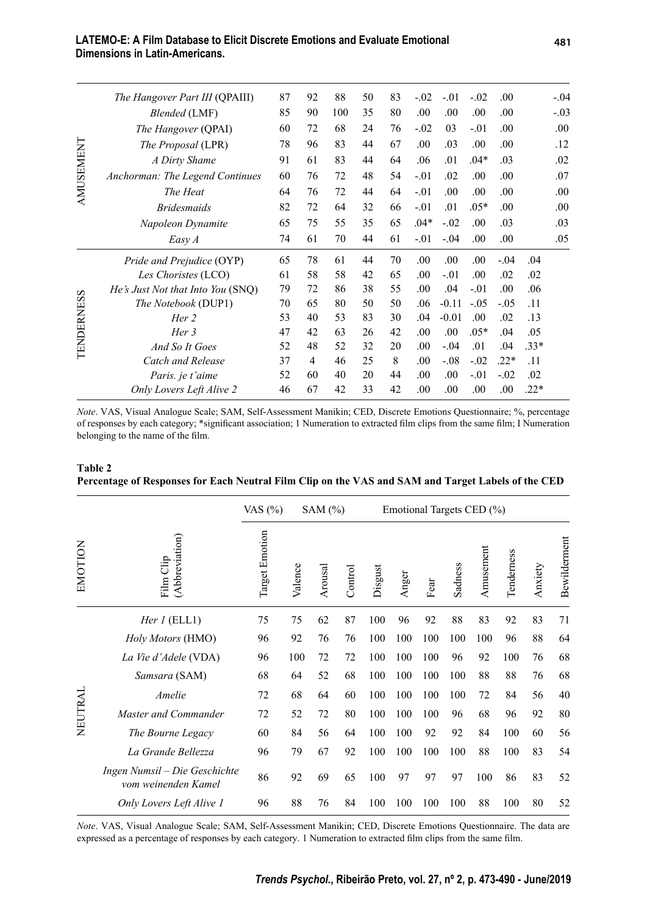#### **LATEMO-E: A Film Database to Elicit Discrete Emotions and Evaluate Emotional Dimensions in Latin-Americans.**

| <b>AMUSEMENT</b>                          | The Hangover Part III (QPAIII)    | 87 | 92             | 88  | 50 | 83 | $-.02$ | $-.01$  | $-.02$ | .00.   |        | $-.04$ |
|-------------------------------------------|-----------------------------------|----|----------------|-----|----|----|--------|---------|--------|--------|--------|--------|
|                                           | <b>Blended</b> (LMF)              | 85 | 90             | 100 | 35 | 80 | .00.   | .00.    | .00.   | .00    |        | $-.03$ |
|                                           | The Hangover (QPAI)               | 60 | 72             | 68  | 24 | 76 | $-.02$ | 03      | $-.01$ | .00    |        | .00    |
|                                           | The Proposal (LPR)                | 78 | 96             | 83  | 44 | 67 | .00    | .03     | .00.   | .00    |        | .12    |
|                                           | A Dirty Shame                     | 91 | 61             | 83  | 44 | 64 | .06    | .01     | $.04*$ | .03    |        | .02    |
|                                           | Anchorman: The Legend Continues   | 60 | 76             | 72  | 48 | 54 | $-.01$ | .02     | .00.   | .00    |        | .07    |
|                                           | The Heat                          | 64 | 76             | 72  | 44 | 64 | $-.01$ | .00.    | .00.   | .00    |        | .00    |
|                                           | <b>Bridesmaids</b>                | 82 | 72             | 64  | 32 | 66 | $-.01$ | .01     | $.05*$ | .00    |        | .00    |
|                                           | Napoleon Dynamite                 | 65 | 75             | 55  | 35 | 65 | $.04*$ | $-.02$  | .00.   | .03    |        | .03    |
|                                           | Easy A                            | 74 | 61             | 70  | 44 | 61 | $-.01$ | $-.04$  | .00.   | .00    |        | .05    |
| $\boldsymbol{\omega}$<br><b>TENDERNES</b> | Pride and Prejudice (OYP)         | 65 | 78             | 61  | 44 | 70 | .00.   | .00.    | .00.   | $-.04$ | .04    |        |
|                                           | Les Choristes (LCO)               | 61 | 58             | 58  | 42 | 65 | .00.   | $-.01$  | .00.   | .02    | .02    |        |
|                                           | He's Just Not that Into You (SNQ) | 79 | 72             | 86  | 38 | 55 | .00.   | .04     | $-.01$ | .00.   | .06    |        |
|                                           | The Notebook (DUP1)               | 70 | 65             | 80  | 50 | 50 | .06    | $-0.11$ | $-.05$ | $-.05$ | .11    |        |
|                                           | Her 2                             | 53 | 40             | 53  | 83 | 30 | .04    | $-0.01$ | .00.   | .02    | .13    |        |
|                                           | Her 3                             | 47 | 42             | 63  | 26 | 42 | .00.   | .00.    | $.05*$ | .04    | .05    |        |
|                                           | And So It Goes                    | 52 | 48             | 52  | 32 | 20 | .00    | $-.04$  | .01    | .04    | $.33*$ |        |
|                                           | Catch and Release                 | 37 | $\overline{4}$ | 46  | 25 | 8  | .00.   | $-.08$  | $-.02$ | $.22*$ | .11    |        |
|                                           | Paris. je t'aime                  | 52 | 60             | 40  | 20 | 44 | .00.   | .00.    | $-.01$ | $-.02$ | .02    |        |
|                                           | Only Lovers Left Alive 2          | 46 | 67             | 42  | 33 | 42 | .00    | .00     | .00.   | .00.   | $.22*$ |        |

#### **Table 2 Percentage of Responses for Each Neutral Film Clip on the VAS and SAM and Target Labels of the CED**

|         |                                                      | VAS $(%)$      | SAM $(\%)$ |         |         | Emotional Targets CED (%) |       |      |         |           |            |         |              |
|---------|------------------------------------------------------|----------------|------------|---------|---------|---------------------------|-------|------|---------|-----------|------------|---------|--------------|
| EMOTION | (Abbreviation)<br>Film Clip                          | Target Emotion | Valence    | Arousal | Control | Disgust                   | Anger | Fear | Sadness | Amusement | Tenderness | Anxiety | Bewilderment |
| NEUTRAL | Her $l$ (ELL1)                                       | 75             | 75         | 62      | 87      | 100                       | 96    | 92   | 88      | 83        | 92         | 83      | 71           |
|         | Holy Motors (HMO)                                    | 96             | 92         | 76      | 76      | 100                       | 100   | 100  | 100     | 100       | 96         | 88      | 64           |
|         | La Vie d'Adele (VDA)                                 | 96             | 100        | 72      | 72      | 100                       | 100   | 100  | 96      | 92        | 100        | 76      | 68           |
|         | Samsara (SAM)                                        | 68             | 64         | 52      | 68      | 100                       | 100   | 100  | 100     | 88        | 88         | 76      | 68           |
|         | Amelie                                               | 72             | 68         | 64      | 60      | 100                       | 100   | 100  | 100     | 72        | 84         | 56      | 40           |
|         | Master and Commander                                 | 72             | 52         | 72      | 80      | 100                       | 100   | 100  | 96      | 68        | 96         | 92      | 80           |
|         | The Bourne Legacy                                    | 60             | 84         | 56      | 64      | 100                       | 100   | 92   | 92      | 84        | 100        | 60      | 56           |
|         | La Grande Bellezza                                   | 96             | 79         | 67      | 92      | 100                       | 100   | 100  | 100     | 88        | 100        | 83      | 54           |
|         | Ingen Numsil – Die Geschichte<br>vom weinenden Kamel | 86             | 92         | 69      | 65      | 100                       | 97    | 97   | 97      | 100       | 86         | 83      | 52           |
|         | Only Lovers Left Alive 1                             | 96             | 88         | 76      | 84      | 100                       | 100   | 100  | 100     | 88        | 100        | 80      | 52           |

*Note*. VAS, Visual Analogue Scale; SAM, Self-Assessment Manikin; CED, Discrete Emotions Questionnaire. The data are expressed as a percentage of responses by each category. 1 Numeration to extracted film clips from the same film.

*Note*. VAS, Visual Analogue Scale; SAM, Self-Assessment Manikin; CED, Discrete Emotions Questionnaire; %, percentage of responses by each category; \*significant association; 1 Numeration to extracted film clips from the same film; I Numeration belonging to the name of the film.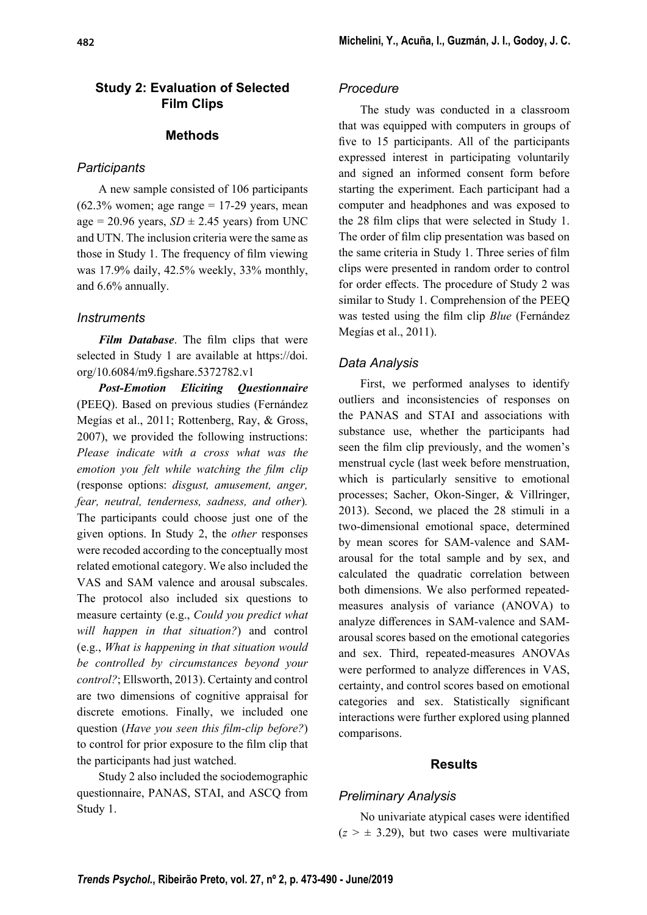### **Study 2: Evaluation of Selected Film Clips**

#### **Methods**

### *Participants*

A new sample consisted of 106 participants  $(62.3\%$  women; age range = 17-29 years, mean age = 20.96 years,  $SD \pm 2.45$  years) from UNC and UTN. The inclusion criteria were the same as those in Study 1. The frequency of film viewing was 17.9% daily, 42.5% weekly, 33% monthly, and 6.6% annually.

### *Instruments*

**Film Database**. The film clips that were selected in Study 1 are available at https://doi. org/10.6084/m9.figshare.5372782.v1

*Post-Emotion Eliciting Questionnaire* (PEEQ). Based on previous studies (Fernández Megías et al., 2011; Rottenberg, Ray, & Gross, 2007), we provided the following instructions: *Please indicate with a cross what was the emotion you felt while watching the film clip* (response options: *disgust, amusement, anger, fear, neutral, tenderness, sadness, and other*)*.* The participants could choose just one of the given options. In Study 2, the *other* responses were recoded according to the conceptually most related emotional category. We also included the VAS and SAM valence and arousal subscales. The protocol also included six questions to measure certainty (e.g., *Could you predict what will happen in that situation?*) and control (e.g., *What is happening in that situation would be controlled by circumstances beyond your control?*; Ellsworth, 2013). Certainty and control are two dimensions of cognitive appraisal for discrete emotions. Finally, we included one question (*Have you seen this film-clip before?*) to control for prior exposure to the film clip that the participants had just watched.

Study 2 also included the sociodemographic questionnaire, PANAS, STAI, and ASCQ from Study 1.

### *Procedure*

The study was conducted in a classroom that was equipped with computers in groups of five to 15 participants. All of the participants expressed interest in participating voluntarily and signed an informed consent form before starting the experiment. Each participant had a computer and headphones and was exposed to the 28 film clips that were selected in Study 1. The order of film clip presentation was based on the same criteria in Study 1. Three series of film clips were presented in random order to control for order effects. The procedure of Study 2 was similar to Study 1. Comprehension of the PEEQ was tested using the film clip *Blue* (Fernández Megías et al., 2011).

## *Data Analysis*

First, we performed analyses to identify outliers and inconsistencies of responses on the PANAS and STAI and associations with substance use, whether the participants had seen the film clip previously, and the women's menstrual cycle (last week before menstruation, which is particularly sensitive to emotional processes; Sacher, Okon-Singer, & Villringer, 2013). Second, we placed the 28 stimuli in a two-dimensional emotional space, determined by mean scores for SAM-valence and SAMarousal for the total sample and by sex, and calculated the quadratic correlation between both dimensions. We also performed repeatedmeasures analysis of variance (ANOVA) to analyze differences in SAM-valence and SAMarousal scores based on the emotional categories and sex. Third, repeated-measures ANOVAs were performed to analyze differences in VAS, certainty, and control scores based on emotional categories and sex. Statistically significant interactions were further explored using planned comparisons.

#### **Results**

## *Preliminary Analysis*

No univariate atypical cases were identified  $(z > \pm 3.29)$ , but two cases were multivariate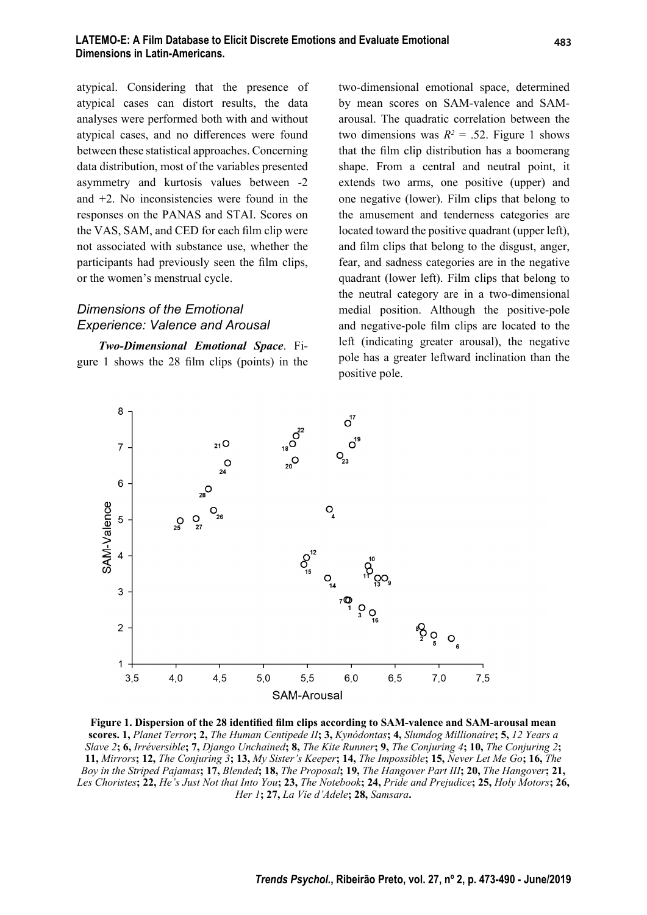atypical. Considering that the presence of atypical cases can distort results, the data analyses were performed both with and without atypical cases, and no differences were found between these statistical approaches. Concerning data distribution, most of the variables presented asymmetry and kurtosis values between -2 and +2. No inconsistencies were found in the responses on the PANAS and STAI. Scores on the VAS, SAM, and CED for each film clip were not associated with substance use, whether the participants had previously seen the film clips, or the women's menstrual cycle.

# *Dimensions of the Emotional Experience: Valence and Arousal*

*Two-Dimensional Emotional Space*. Figure 1 shows the  $28$  film clips (points) in the two-dimensional emotional space, determined by mean scores on SAM-valence and SAMarousal. The quadratic correlation between the two dimensions was  $R^2 = .52$ . Figure 1 shows that the film clip distribution has a boomerang shape. From a central and neutral point, it extends two arms, one positive (upper) and one negative (lower). Film clips that belong to the amusement and tenderness categories are located toward the positive quadrant (upper left), and film clips that belong to the disgust, anger, fear, and sadness categories are in the negative quadrant (lower left). Film clips that belong to the neutral category are in a two-dimensional medial position. Although the positive-pole and negative-pole film clips are located to the left (indicating greater arousal), the negative pole has a greater leftward inclination than the positive pole.



Figure 1. Dispersion of the 28 identified film clips according to SAM-valence and SAM-arousal mean **scores. 1,** *Planet Terror***; 2,** *The Human Centipede II***; 3,** *Kynódontas***; 4,** *Slumdog Millionaire***; 5,** *12 Years a Slave 2***; 6,** *Irréversible***; 7,** *Django Unchained***; 8,** *The Kite Runner***; 9,** *The Conjuring 4***; 10,** *The Conjuring 2***; 11,** *Mirrors***; 12,** *The Conjuring 3***; 13,** *My Sister's Keeper***; 14,** *The Impossible***; 15,** *Never Let Me Go***; 16,** *The Boy in the Striped Pajamas***; 17,** *Blended***; 18,** *The Proposal***; 19,** *The Hangover Part III***; 20,** *The Hangover***; 21,**  *Les Choristes***; 22,** *He's Just Not that Into You***; 23,** *The Notebook***; 24,** *Pride and Prejudice***; 25,** *Holy Motors***; 26,**  *Her 1***; 27,** *La Vie d'Adele***; 28,** *Samsara***.**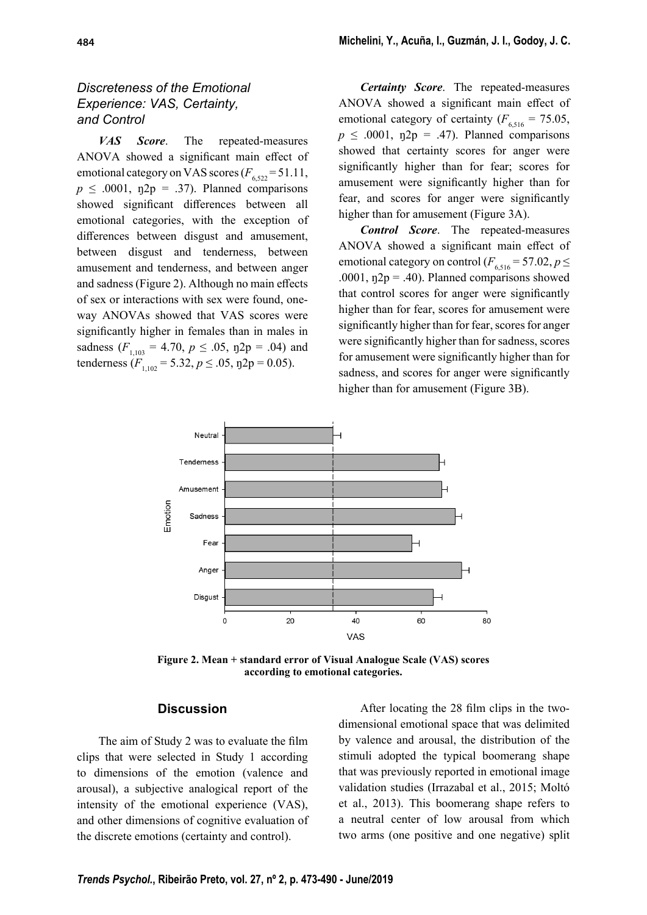# *Discreteness of the Emotional Experience: VAS, Certainty, and Control*

*VAS Score*. The repeated-measures ANOVA showed a significant main effect of emotional category on VAS scores  $(F_{6.522} = 51.11,$  $p \leq .0001$ ,  $p2p = .37$ ). Planned comparisons showed significant differences between all emotional categories, with the exception of differences between disgust and amusement, between disgust and tenderness, between amusement and tenderness, and between anger and sadness (Figure 2). Although no main effects of sex or interactions with sex were found, oneway ANOVAs showed that VAS scores were significantly higher in females than in males in sadness  $(F_{1,103} = 4.70, p \le .05, \text{eta2p} = .04)$  and tenderness  $(F_{1,102} = 5.32, p \le .05, \eta 2p = 0.05)$ .

*Certainty Score*. The repeated-measures ANOVA showed a significant main effect of emotional category of certainty  $(F_{6,516} = 75.05,$  $p \leq .0001$ ,  $p2p = .47$ ). Planned comparisons showed that certainty scores for anger were significantly higher than for fear; scores for amusement were significantly higher than for fear, and scores for anger were significantly higher than for amusement (Figure 3A).

*Control Score*. The repeated-measures ANOVA showed a significant main effect of emotional category on control  $(F_{6,516} = 57.02, p \leq$ .0001,  $p2p = .40$ ). Planned comparisons showed that control scores for anger were significantly higher than for fear, scores for amusement were significantly higher than for fear, scores for anger were significantly higher than for sadness, scores for amusement were significantly higher than for sadness, and scores for anger were significantly higher than for amusement (Figure 3B).



**Figure 2. Mean + standard error of Visual Analogue Scale (VAS) scores according to emotional categories.**

#### **Discussion**

The aim of Study 2 was to evaluate the film clips that were selected in Study 1 according to dimensions of the emotion (valence and arousal), a subjective analogical report of the intensity of the emotional experience (VAS), and other dimensions of cognitive evaluation of the discrete emotions (certainty and control).

After locating the 28 film clips in the twodimensional emotional space that was delimited by valence and arousal, the distribution of the stimuli adopted the typical boomerang shape that was previously reported in emotional image validation studies (Irrazabal et al., 2015; Moltó et al., 2013). This boomerang shape refers to a neutral center of low arousal from which two arms (one positive and one negative) split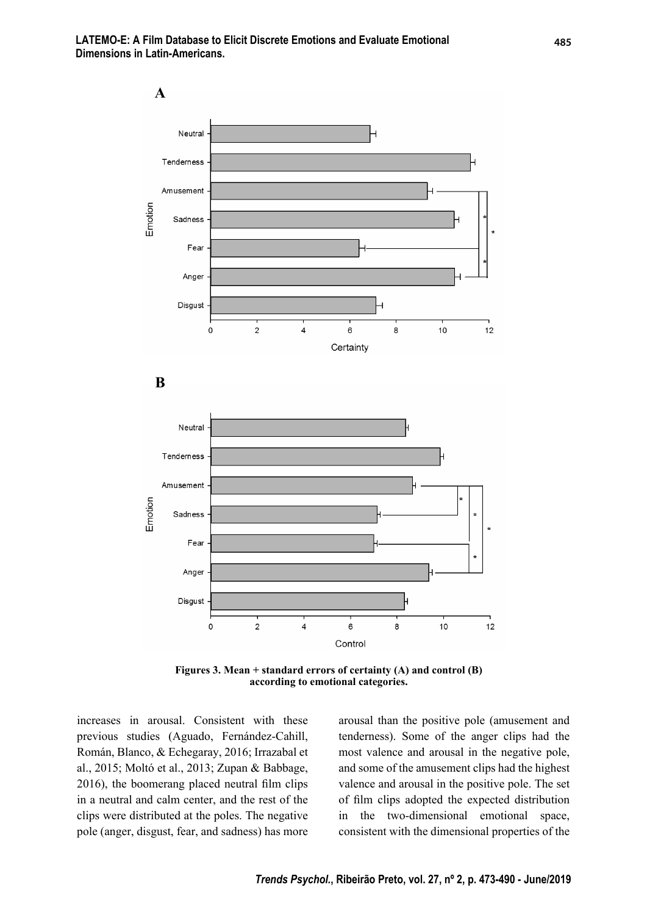**LATEMO-E: A Film Database to Elicit Discrete Emotions and Evaluate Emotional Dimensions in Latin-Americans.**



**Figures 3. Mean + standard errors of certainty (A) and control (B) according to emotional categories.**

increases in arousal. Consistent with these previous studies (Aguado, Fernández-Cahill, Román, Blanco, & Echegaray, 2016; Irrazabal et al., 2015; Moltó et al., 2013; Zupan & Babbage,  $2016$ ), the boomerang placed neutral film clips in a neutral and calm center, and the rest of the clips were distributed at the poles. The negative pole (anger, disgust, fear, and sadness) has more arousal than the positive pole (amusement and tenderness). Some of the anger clips had the most valence and arousal in the negative pole, and some of the amusement clips had the highest valence and arousal in the positive pole. The set of film clips adopted the expected distribution in the two-dimensional emotional space, consistent with the dimensional properties of the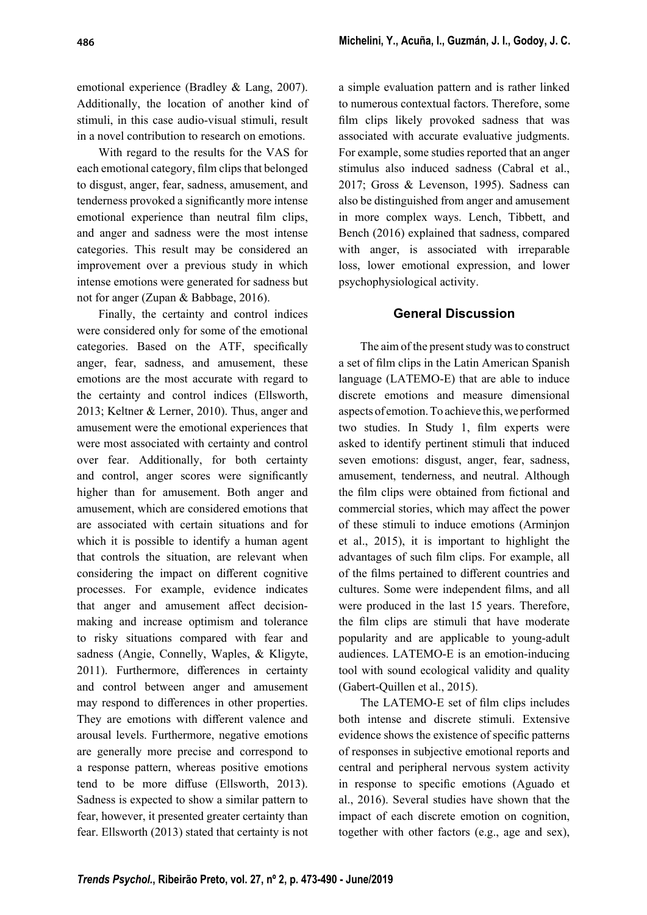emotional experience (Bradley & Lang, 2007). Additionally, the location of another kind of stimuli, in this case audio-visual stimuli, result in a novel contribution to research on emotions.

With regard to the results for the VAS for each emotional category, film clips that belonged to disgust, anger, fear, sadness, amusement, and tenderness provoked a significantly more intense emotional experience than neutral film clips, and anger and sadness were the most intense categories. This result may be considered an improvement over a previous study in which intense emotions were generated for sadness but not for anger (Zupan & Babbage, 2016).

Finally, the certainty and control indices were considered only for some of the emotional categories. Based on the ATF, specifically anger, fear, sadness, and amusement, these emotions are the most accurate with regard to the certainty and control indices (Ellsworth, 2013; Keltner & Lerner, 2010). Thus, anger and amusement were the emotional experiences that were most associated with certainty and control over fear. Additionally, for both certainty and control, anger scores were significantly higher than for amusement. Both anger and amusement, which are considered emotions that are associated with certain situations and for which it is possible to identify a human agent that controls the situation, are relevant when considering the impact on different cognitive processes. For example, evidence indicates that anger and amusement affect decisionmaking and increase optimism and tolerance to risky situations compared with fear and sadness (Angie, Connelly, Waples, & Kligyte, 2011). Furthermore, differences in certainty and control between anger and amusement may respond to differences in other properties. They are emotions with different valence and arousal levels. Furthermore, negative emotions are generally more precise and correspond to a response pattern, whereas positive emotions tend to be more diffuse (Ellsworth, 2013). Sadness is expected to show a similar pattern to fear, however, it presented greater certainty than fear. Ellsworth (2013) stated that certainty is not

a simple evaluation pattern and is rather linked to numerous contextual factors. Therefore, some film clips likely provoked sadness that was associated with accurate evaluative judgments. For example, some studies reported that an anger stimulus also induced sadness (Cabral et al., 2017; Gross & Levenson, 1995). Sadness can also be distinguished from anger and amusement in more complex ways. Lench, Tibbett, and Bench (2016) explained that sadness, compared with anger, is associated with irreparable loss, lower emotional expression, and lower psychophysiological activity.

### **General Discussion**

The aim of the present study was to construct a set of film clips in the Latin American Spanish language (LATEMO-E) that are able to induce discrete emotions and measure dimensional aspects of emotion. To achieve this, we performed two studies. In Study 1, film experts were asked to identify pertinent stimuli that induced seven emotions: disgust, anger, fear, sadness, amusement, tenderness, and neutral. Although the film clips were obtained from fictional and commercial stories, which may affect the power of these stimuli to induce emotions (Arminjon et al., 2015), it is important to highlight the advantages of such film clips. For example, all of the films pertained to different countries and cultures. Some were independent films, and all were produced in the last 15 years. Therefore, the film clips are stimuli that have moderate popularity and are applicable to young-adult audiences. LATEMO-E is an emotion-inducing tool with sound ecological validity and quality (Gabert-Quillen et al., 2015).

The LATEMO-E set of film clips includes both intense and discrete stimuli. Extensive evidence shows the existence of specific patterns of responses in subjective emotional reports and central and peripheral nervous system activity in response to specific emotions (Aguado et al., 2016). Several studies have shown that the impact of each discrete emotion on cognition, together with other factors (e.g., age and sex),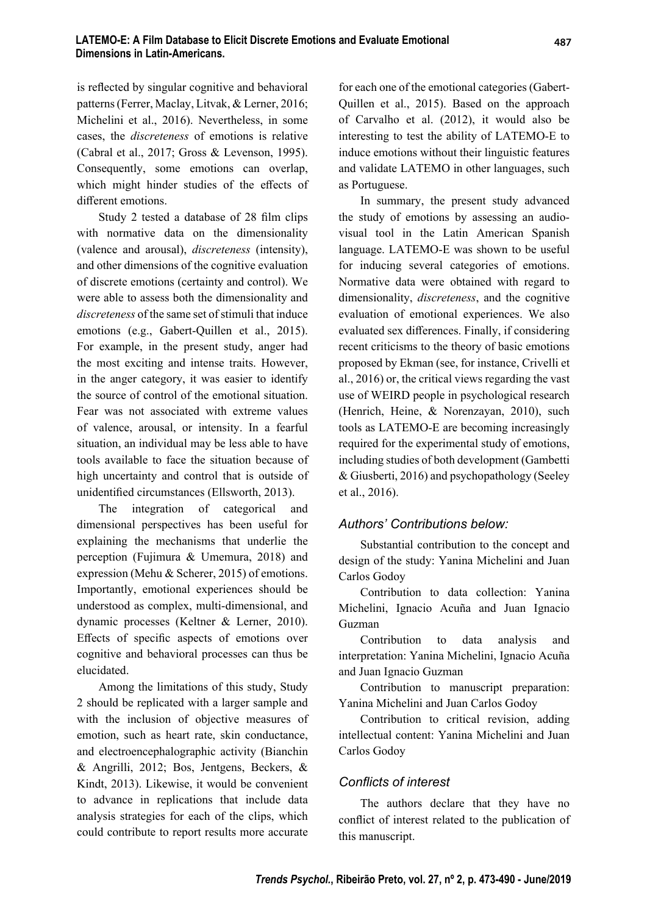is reflected by singular cognitive and behavioral patterns (Ferrer, Maclay, Litvak, & Lerner, 2016; Michelini et al., 2016). Nevertheless, in some cases, the *discreteness* of emotions is relative (Cabral et al., 2017; Gross & Levenson, 1995). Consequently, some emotions can overlap, which might hinder studies of the effects of different emotions.

Study 2 tested a database of 28 film clips with normative data on the dimensionality (valence and arousal), *discreteness* (intensity), and other dimensions of the cognitive evaluation of discrete emotions (certainty and control). We were able to assess both the dimensionality and *discreteness* of the same set of stimuli that induce emotions (e.g., Gabert-Quillen et al., 2015). For example, in the present study, anger had the most exciting and intense traits. However, in the anger category, it was easier to identify the source of control of the emotional situation. Fear was not associated with extreme values of valence, arousal, or intensity. In a fearful situation, an individual may be less able to have tools available to face the situation because of high uncertainty and control that is outside of unidentified circumstances (Ellsworth, 2013).

The integration of categorical and dimensional perspectives has been useful for explaining the mechanisms that underlie the perception (Fujimura & Umemura, 2018) and expression (Mehu & Scherer, 2015) of emotions. Importantly, emotional experiences should be understood as complex, multi-dimensional, and dynamic processes (Keltner & Lerner, 2010). Effects of specific aspects of emotions over cognitive and behavioral processes can thus be elucidated.

Among the limitations of this study, Study 2 should be replicated with a larger sample and with the inclusion of objective measures of emotion, such as heart rate, skin conductance, and electroencephalographic activity (Bianchin & Angrilli, 2012; Bos, Jentgens, Beckers, & Kindt, 2013). Likewise, it would be convenient to advance in replications that include data analysis strategies for each of the clips, which could contribute to report results more accurate for each one of the emotional categories (Gabert-Quillen et al., 2015). Based on the approach of Carvalho et al. (2012), it would also be interesting to test the ability of LATEMO-E to induce emotions without their linguistic features and validate LATEMO in other languages, such as Portuguese.

In summary, the present study advanced the study of emotions by assessing an audiovisual tool in the Latin American Spanish language. LATEMO-E was shown to be useful for inducing several categories of emotions. Normative data were obtained with regard to dimensionality, *discreteness*, and the cognitive evaluation of emotional experiences. We also evaluated sex differences. Finally, if considering recent criticisms to the theory of basic emotions proposed by Ekman (see, for instance, Crivelli et al., 2016) or, the critical views regarding the vast use of WEIRD people in psychological research (Henrich, Heine, & Norenzayan, 2010), such tools as LATEMO-E are becoming increasingly required for the experimental study of emotions, including studies of both development (Gambetti & Giusberti, 2016) and psychopathology (Seeley et al., 2016).

## *Authors' Contributions below:*

Substantial contribution to the concept and design of the study: Yanina Michelini and Juan Carlos Godoy

Contribution to data collection: Yanina Michelini, Ignacio Acuña and Juan Ignacio Guzman

Contribution to data analysis and interpretation: Yanina Michelini, Ignacio Acuña and Juan Ignacio Guzman

Contribution to manuscript preparation: Yanina Michelini and Juan Carlos Godoy

Contribution to critical revision, adding intellectual content: Yanina Michelini and Juan Carlos Godoy

#### *Confl icts of interest*

The authors declare that they have no conflict of interest related to the publication of this manuscript.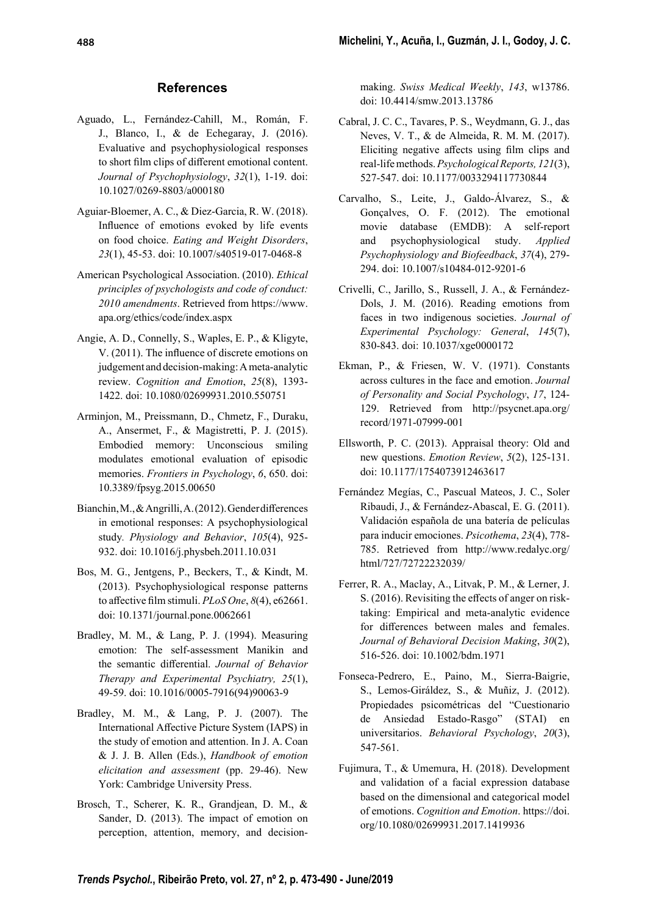#### **References**

- Aguado, L., Fernández-Cahill, M., Román, F. J., Blanco, I., & de Echegaray, J. (2016). Evaluative and psychophysiological responses to short film clips of different emotional content. *Journal of Psychophysiology*, *32*(1), 1-19. doi: 10.1027/0269-8803/a000180
- Aguiar-Bloemer, A. C., & Diez-Garcia, R. W. (2018). Influence of emotions evoked by life events on food choice. *Eating and Weight Disorders*, *23*(1), 45-53. doi: 10.1007/s40519-017-0468-8
- American Psychological Association. (2010). *Ethical principles of psychologists and code of conduct: 2010 amendments*. Retrieved from https://www. apa.org/ethics/code/index.aspx
- Angie, A. D., Connelly, S., Waples, E. P., & Kligyte, V. (2011). The influence of discrete emotions on judgement and decision-making: A meta-analytic review. *Cognition and Emotion*, *25*(8), 1393- 1422. doi: 10.1080/02699931.2010.550751
- Arminjon, M., Preissmann, D., Chmetz, F., Duraku, A., Ansermet, F., & Magistretti, P. J. (2015). Embodied memory: Unconscious smiling modulates emotional evaluation of episodic memories. *Frontiers in Psychology*, *6*, 650. doi: 10.3389/fpsyg.2015.00650
- Bianchin, M., & Angrilli, A. (2012). Gender differences in emotional responses: A psychophysiological study*. Physiology and Behavior*, *105*(4), 925- 932. doi: 10.1016/j.physbeh.2011.10.031
- Bos, M. G., Jentgens, P., Beckers, T., & Kindt, M. (2013). Psychophysiological response patterns to affective film stimuli. *PLoS One*,  $8(4)$ , e62661. doi: 10.1371/journal.pone.0062661
- Bradley, M. M., & Lang, P. J. (1994). Measuring emotion: The self-assessment Manikin and the semantic differential. *Journal of Behavior Therapy and Experimental Psychiatry, 25*(1), 49-59. doi: 10.1016/0005-7916(94)90063-9
- Bradley, M. M., & Lang, P. J. (2007). The International Affective Picture System (IAPS) in the study of emotion and attention. In J. A. Coan & J. J. B. Allen (Eds.), *Handbook of emotion elicitation and assessment* (pp. 29-46). New York: Cambridge University Press.
- Brosch, T., Scherer, K. R., Grandjean, D. M., & Sander, D. (2013). The impact of emotion on perception, attention, memory, and decision-

making. *Swiss Medical Weekly*, *143*, w13786. doi: 10.4414/smw.2013.13786

- Cabral, J. C. C., Tavares, P. S., Weydmann, G. J., das Neves, V. T., & de Almeida, R. M. M. (2017). Eliciting negative affects using film clips and real-life methods. *Psychological Reports, 121*(3), 527-547. doi: 10.1177/0033294117730844
- Carvalho, S., Leite, J., Galdo-Álvarez, S., & Gonçalves, O. F. (2012). The emotional movie database (EMDB): A self-report and psychophysiological study. *Applied Psychophysiology and Biofeedback*, *37*(4), 279- 294. doi: 10.1007/s10484-012-9201-6
- Crivelli, C., Jarillo, S., Russell, J. A., & Fernández-Dols, J. M. (2016). Reading emotions from faces in two indigenous societies. *Journal of Experimental Psychology: General*, *145*(7), 830-843. doi: 10.1037/xge0000172
- Ekman, P., & Friesen, W. V. (1971). Constants across cultures in the face and emotion. *Journal of Personality and Social Psychology*, *17*, 124- 129. Retrieved from http://psycnet.apa.org/ record/1971-07999-001
- Ellsworth, P. C. (2013). Appraisal theory: Old and new questions. *Emotion Review*, *5*(2), 125-131. doi: 10.1177/1754073912463617
- Fernández Megías, C., Pascual Mateos, J. C., Soler Ribaudi, J., & Fernández-Abascal, E. G. (2011). Validación española de una batería de películas para inducir emociones. *Psicothema*, *23*(4), 778- 785. Retrieved from http://www.redalyc.org/ html/727/72722232039/
- Ferrer, R. A., Maclay, A., Litvak, P. M., & Lerner, J. S. (2016). Revisiting the effects of anger on risktaking: Empirical and meta-analytic evidence for differences between males and females. *Journal of Behavioral Decision Making*, *30*(2), 516-526. doi: 10.1002/bdm.1971
- Fonseca-Pedrero, E., Paino, M., Sierra-Baigrie, S., Lemos-Giráldez, S., & Muñiz, J. (2012). Propiedades psicométricas del "Cuestionario de Ansiedad Estado-Rasgo" (STAI) en universitarios. *Behavioral Psychology*, *20*(3), 547-561.
- Fujimura, T., & Umemura, H. (2018). Development and validation of a facial expression database based on the dimensional and categorical model of emotions. *Cognition and Emotion*. https://doi. org/10.1080/02699931.2017.1419936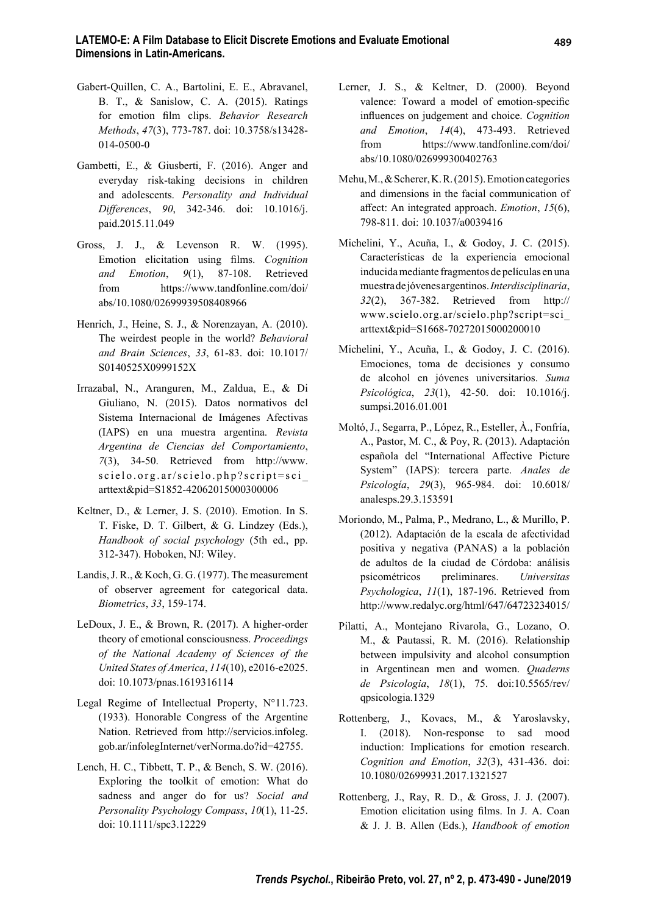- Gabert-Quillen, C. A., Bartolini, E. E., Abravanel, B. T., & Sanislow, C. A. (2015). Ratings for emotion film clips. *Behavior Research Methods*, *47*(3), 773-787. doi: 10.3758/s13428- 014-0500-0
- Gambetti, E., & Giusberti, F. (2016). Anger and everyday risk-taking decisions in children and adolescents. *Personality and Individual Diff erences*, *90*, 342-346. doi: 10.1016/j. paid.2015.11.049
- Gross, J. J., & Levenson R. W. (1995). Emotion elicitation using films. *Cognition and Emotion*, *9*(1), 87-108. Retrieved from https://www.tandfonline.com/doi/ abs/10.1080/02699939508408966
- Henrich, J., Heine, S. J., & Norenzayan, A. (2010). The weirdest people in the world? *Behavioral and Brain Sciences*, *33*, 61-83. doi: 10.1017/ S0140525X0999152X
- Irrazabal, N., Aranguren, M., Zaldua, E., & Di Giuliano, N. (2015). Datos normativos del Sistema Internacional de Imágenes Afectivas (IAPS) en una muestra argentina. *Revista Argentina de Ciencias del Comportamiento*, *7*(3), 34-50. Retrieved from http://www. scielo.org.ar/scielo.php?script=sci\_ arttext&pid=S1852-42062015000300006
- Keltner, D., & Lerner, J. S. (2010). Emotion. In S. T. Fiske, D. T. Gilbert, & G. Lindzey (Eds.), *Handbook of social psychology* (5th ed., pp. 312-347). Hoboken, NJ: Wiley.
- Landis, J. R., & Koch, G. G. (1977). The measurement of observer agreement for categorical data. *Biometrics*, *33*, 159-174.
- LeDoux, J. E., & Brown, R. (2017). A higher-order theory of emotional consciousness. *Proceedings of the National Academy of Sciences of the United States of America*, *114*(10), e2016-e2025. doi: 10.1073/pnas.1619316114
- Legal Regime of Intellectual Property, N°11.723. (1933). Honorable Congress of the Argentine Nation. Retrieved from http://servicios.infoleg. gob.ar/infolegInternet/verNorma.do?id=42755.
- Lench, H. C., Tibbett, T. P., & Bench, S. W. (2016). Exploring the toolkit of emotion: What do sadness and anger do for us? *Social and Personality Psychology Compass*, *10*(1), 11-25. doi: 10.1111/spc3.12229
- Lerner, J. S., & Keltner, D. (2000). Beyond valence: Toward a model of emotion-specific influences on judgement and choice. *Cognition and Emotion*, *14*(4), 473-493. Retrieved from https://www.tandfonline.com/doi/ abs/10.1080/026999300402763
- Mehu, M., & Scherer, K. R. (2015). Emotion categories and dimensions in the facial communication of aff ect: An integrated approach. *Emotion*, *15*(6), 798-811. doi: 10.1037/a0039416
- Michelini, Y., Acuña, I., & Godoy, J. C. (2015). Características de la experiencia emocional inducida mediante fragmentos de películas en una muestra de jóvenes argentinos. *Interdisciplinaria*, *32*(2), 367-382. Retrieved from http:// www.scielo.org.ar/scielo.php?script=sci\_ arttext&pid=S1668-70272015000200010
- Michelini, Y., Acuña, I., & Godoy, J. C. (2016). Emociones, toma de decisiones y consumo de alcohol en jóvenes universitarios. *Suma Psicológica*, *23*(1), 42-50. doi: 10.1016/j. sumpsi.2016.01.001
- Moltó, J., Segarra, P., López, R., Esteller, À., Fonfría, A., Pastor, M. C., & Poy, R. (2013). Adaptación española del "International Affective Picture System" (IAPS): tercera parte. *Anales de Psicología*, *29*(3), 965-984. doi: 10.6018/ analesps.29.3.153591
- Moriondo, M., Palma, P., Medrano, L., & Murillo, P. (2012). Adaptación de la escala de afectividad positiva y negativa (PANAS) a la población de adultos de la ciudad de Córdoba: análisis psicométricos preliminares. *Universitas Psychologica*, *11*(1), 187-196. Retrieved from http://www.redalyc.org/html/647/64723234015/
- Pilatti, A., Montejano Rivarola, G., Lozano, O. M., & Pautassi, R. M. (2016). Relationship between impulsivity and alcohol consumption in Argentinean men and women. *Quaderns de Psicologia*, *18*(1), 75. doi:10.5565/rev/ qpsicologia.1329
- Rottenberg, J., Kovacs, M., & Yaroslavsky, I. (2018). Non-response to sad mood induction: Implications for emotion research. *Cognition and Emotion*, *32*(3), 431-436. doi: 10.1080/02699931.2017.1321527
- Rottenberg, J., Ray, R. D., & Gross, J. J. (2007). Emotion elicitation using films. In J. A. Coan & J. J. B. Allen (Eds.), *Handbook of emotion*